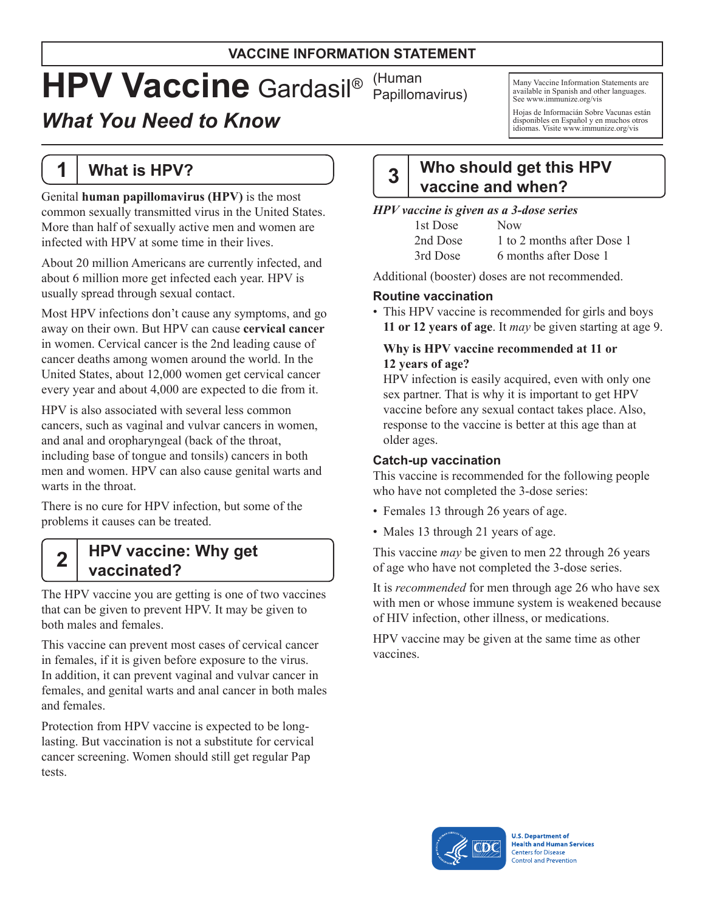#### **VACCINE INFORMATION STATEMENT**

# **HPV Vaccine** Gardasil®

## *What You Need to Know*

**1 What is HPV?**

Genital **human papillomavirus (HPV)** is the most common sexually transmitted virus in the United States. More than half of sexually active men and women are infected with HPV at some time in their lives.

About 20 million Americans are currently infected, and about 6 million more get infected each year. HPV is usually spread through sexual contact.

Most HPV infections don't cause any symptoms, and go away on their own. But HPV can cause **cervical cancer**  in women. Cervical cancer is the 2nd leading cause of cancer deaths among women around the world. In the United States, about 12,000 women get cervical cancer every year and about 4,000 are expected to die from it.

HPV is also associated with several less common cancers, such as vaginal and vulvar cancers in women, and anal and oropharyngeal (back of the throat, including base of tongue and tonsils) cancers in both men and women. HPV can also cause genital warts and warts in the throat.

There is no cure for HPV infection, but some of the problems it causes can be treated.

## **2 HPV vaccine: Why get vaccinated?**

The HPV vaccine you are getting is one of two vaccines that can be given to prevent HPV. It may be given to both males and females.

This vaccine can prevent most cases of cervical cancer in females, if it is given before exposure to the virus. In addition, it can prevent vaginal and vulvar cancer in females, and genital warts and anal cancer in both males and females.

Protection from HPV vaccine is expected to be longlasting. But vaccination is not a substitute for cervical cancer screening. Women should still get regular Pap tests.

(Human Papillomavirus)

Many Vaccine Information Statements are available in Spanish and other languages. See [www.immunize.org/vis](http://www.immunize.org/vis)

Hojas de Informacián Sobre Vacunas están disponibles en Español y en muchos otros idiomas. Visite [www.immunize.org/vis](http://www.immunize.org/vis)

## **3 Who should get this HPV vaccine and when?**

#### *HPV vaccine is given as a 3-dose series*

| 1st Dose | <b>Now</b>                 |
|----------|----------------------------|
| 2nd Dose | 1 to 2 months after Dose 1 |
| 3rd Dose | 6 months after Dose 1      |

Additional (booster) doses are not recommended.

#### **Routine vaccination**

• This HPV vaccine is recommended for girls and boys **11 or 12 years of age**. It *may* be given starting at age 9.

#### **Why is HPV vaccine recommended at 11 or 12 years of age?**

HPV infection is easily acquired, even with only one sex partner. That is why it is important to get HPV vaccine before any sexual contact takes place. Also, response to the vaccine is better at this age than at older ages.

#### **Catch-up vaccination**

This vaccine is recommended for the following people who have not completed the 3-dose series:

- Females 13 through 26 years of age.
- Males 13 through 21 years of age.

This vaccine *may* be given to men 22 through 26 years of age who have not completed the 3-dose series.

It is *recommended* for men through age 26 who have sex with men or whose immune system is weakened because of HIV infection, other illness, or medications.

HPV vaccine may be given at the same time as other vaccines.